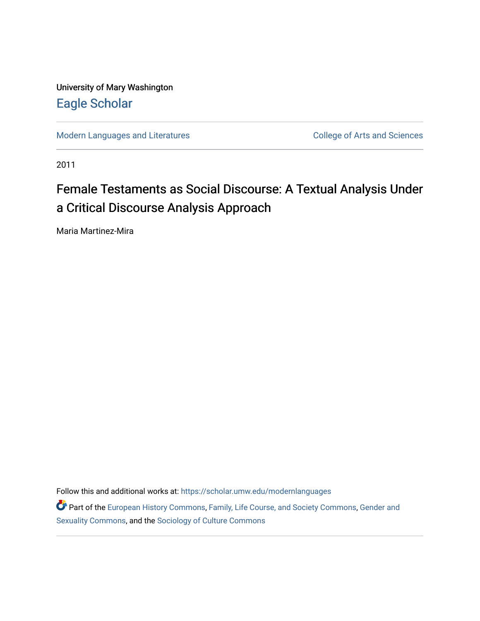University of Mary Washington [Eagle Scholar](https://scholar.umw.edu/) 

[Modern Languages and Literatures](https://scholar.umw.edu/modernlanguages) **College of Arts and Sciences** 

2011

# Female Testaments as Social Discourse: A Textual Analysis Under a Critical Discourse Analysis Approach

Maria Martinez-Mira

Follow this and additional works at: [https://scholar.umw.edu/modernlanguages](https://scholar.umw.edu/modernlanguages?utm_source=scholar.umw.edu%2Fmodernlanguages%2F9&utm_medium=PDF&utm_campaign=PDFCoverPages) 

Part of the [European History Commons](http://network.bepress.com/hgg/discipline/492?utm_source=scholar.umw.edu%2Fmodernlanguages%2F9&utm_medium=PDF&utm_campaign=PDFCoverPages), [Family, Life Course, and Society Commons,](http://network.bepress.com/hgg/discipline/419?utm_source=scholar.umw.edu%2Fmodernlanguages%2F9&utm_medium=PDF&utm_campaign=PDFCoverPages) [Gender and](http://network.bepress.com/hgg/discipline/420?utm_source=scholar.umw.edu%2Fmodernlanguages%2F9&utm_medium=PDF&utm_campaign=PDFCoverPages) [Sexuality Commons,](http://network.bepress.com/hgg/discipline/420?utm_source=scholar.umw.edu%2Fmodernlanguages%2F9&utm_medium=PDF&utm_campaign=PDFCoverPages) and the [Sociology of Culture Commons](http://network.bepress.com/hgg/discipline/431?utm_source=scholar.umw.edu%2Fmodernlanguages%2F9&utm_medium=PDF&utm_campaign=PDFCoverPages)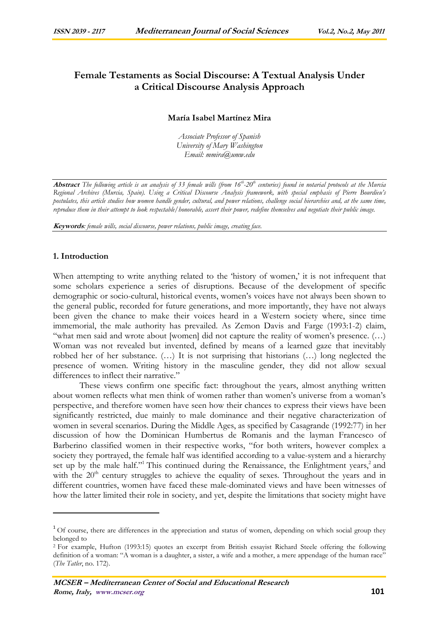# **Female Testaments as Social Discourse: A Textual Analysis Under a Critical Discourse Analysis Approach**

# **María Isabel Martínez Mira**

*Associate Professor of Spanish University of Mary Washington Email: mmira@umw.edu* 

**Abstract** *The following article is an analysis of 33 female wills (from 16th-20th centuries) found in notarial protocols at the Murcia Regional Archives (Murcia, Spain). Using a Critical Discourse Analysis framework, with special emphasis of Pierre Bourdieu's postulates, this article studies how women handle gender, cultural, and power relations, challenge social hierarchies and, at the same time, reproduce them in their attempt to look respectable/honorable, assert their power, redefine themselves and negotiate their public image.* 

**Keywords***: female wills, social discourse, power relations, public image, creating face.* 

## **1. Introduction**

 $\overline{a}$ 

When attempting to write anything related to the 'history of women,' it is not infrequent that some scholars experience a series of disruptions. Because of the development of specific demographic or socio-cultural, historical events, women's voices have not always been shown to the general public, recorded for future generations, and more importantly, they have not always been given the chance to make their voices heard in a Western society where, since time immemorial, the male authority has prevailed. As Zemon Davis and Farge (1993:1-2) claim, "what men said and wrote about [women] did not capture the reality of women's presence. (…) Woman was not revealed but invented, defined by means of a learned gaze that inevitably robbed her of her substance. (…) It is not surprising that historians (…) long neglected the presence of women. Writing history in the masculine gender, they did not allow sexual differences to inflect their narrative."

These views confirm one specific fact: throughout the years, almost anything written about women reflects what men think of women rather than women's universe from a woman's perspective, and therefore women have seen how their chances to express their views have been significantly restricted, due mainly to male dominance and their negative characterization of women in several scenarios. During the Middle Ages, as specified by Casagrande (1992:77) in her discussion of how the Dominican Humbertus de Romanis and the layman Francesco of Barberino classified women in their respective works, "for both writers, however complex a society they portrayed, the female half was identified according to a value-system and a hierarchy set up by the male half."<sup>1</sup> This continued during the Renaissance, the Enlightment years,<sup>2</sup> and with the  $20<sup>th</sup>$  century struggles to achieve the equality of sexes. Throughout the years and in different countries, women have faced these male-dominated views and have been witnesses of how the latter limited their role in society, and yet, despite the limitations that society might have

 $1$  Of course, there are differences in the appreciation and status of women, depending on which social group they belonged to

<sup>2</sup> For example, Hufton (1993:15) quotes an excerpt from British essayist Richard Steele offering the following definition of a woman: "A woman is a daughter, a sister, a wife and a mother, a mere appendage of the human race" (*The Tatler*, no. 172).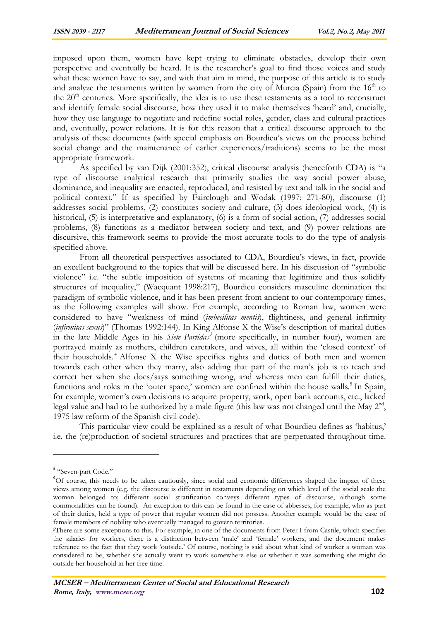imposed upon them, women have kept trying to eliminate obstacles, develop their own perspective and eventually be heard. It is the researcher's goal to find those voices and study what these women have to say, and with that aim in mind, the purpose of this article is to study and analyze the testaments written by women from the city of Murcia (Spain) from the  $16<sup>th</sup>$  to the  $20<sup>th</sup>$  centuries. More specifically, the idea is to use these testaments as a tool to reconstruct and identify female social discourse, how they used it to make themselves 'heard' and, crucially, how they use language to negotiate and redefine social roles, gender, class and cultural practices and, eventually, power relations. It is for this reason that a critical discourse approach to the analysis of these documents (with special emphasis on Bourdieu's views on the process behind social change and the maintenance of earlier experiences/traditions) seems to be the most appropriate framework.

As specified by van Dijk (2001:352), critical discourse analysis (henceforth CDA) is "a type of discourse analytical research that primarily studies the way social power abuse, dominance, and inequality are enacted, reproduced, and resisted by text and talk in the social and political context." If as specified by Fairclough and Wodak (1997: 271-80), discourse (1) addresses social problems, (2) constitutes society and culture, (3) does ideological work, (4) is historical, (5) is interpretative and explanatory, (6) is a form of social action, (7) addresses social problems, (8) functions as a mediator between society and text, and (9) power relations are discursive, this framework seems to provide the most accurate tools to do the type of analysis specified above.

From all theoretical perspectives associated to CDA, Bourdieu's views, in fact, provide an excellent background to the topics that will be discussed here. In his discussion of "symbolic violence" i.e. "the subtle imposition of systems of meaning that legitimize and thus solidify structures of inequality," (Wacquant 1998:217), Bourdieu considers masculine domination the paradigm of symbolic violence, and it has been present from ancient to our contemporary times, as the following examples will show. For example, according to Roman law, women were considered to have "weakness of mind (*imbecilitas mentis*), flightiness, and general infirmity (*infirmitas sexus*)" (Thomas 1992:144). In King Alfonse X the Wise's description of marital duties in the late Middle Ages in his *Siete Partidas<sup>3</sup>* (more specifically, in number four), women are portrayed mainly as mothers, children caretakers, and wives, all within the 'closed context' of their households. <sup>4</sup> Alfonse X the Wise specifies rights and duties of both men and women towards each other when they marry, also adding that part of the man's job is to teach and correct her when she does/says something wrong, and whereas men can fulfill their duties, functions and roles in the 'outer space,' women are confined within the house walls.<sup>5</sup> In Spain, for example, women's own decisions to acquire property, work, open bank accounts, etc., lacked legal value and had to be authorized by a male figure (this law was not changed until the May  $2^{nd}$ , 1975 law reform of the Spanish civil code).

This particular view could be explained as a result of what Bourdieu defines as 'habitus,' i.e. the (re)production of societal structures and practices that are perpetuated throughout time.

<sup>&</sup>lt;sup>3</sup> "Seven-part Code."

<sup>&</sup>lt;sup>4</sup>Of course, this needs to be taken cautiously, since social and economic differences shaped the impact of these views among women (e.g. the discourse is different in testaments depending on which level of the social scale the woman belonged to; different social stratification conveys different types of discourse, although some commonalities can be found). An exception to this can be found in the case of abbesses, for example, who as part of their duties, held a type of power that regular women did not possess. Another example would be the case of female members of nobility who eventually managed to govern territories.

<sup>5</sup>There are some exceptions to this. For example, in one of the documents from Peter I from Castile, which specifies the salaries for workers, there is a distinction between 'male' and 'female' workers, and the document makes reference to the fact that they work 'outside.' Of course, nothing is said about what kind of worker a woman was considered to be, whether she actually went to work somewhere else or whether it was something she might do outside her household in her free time.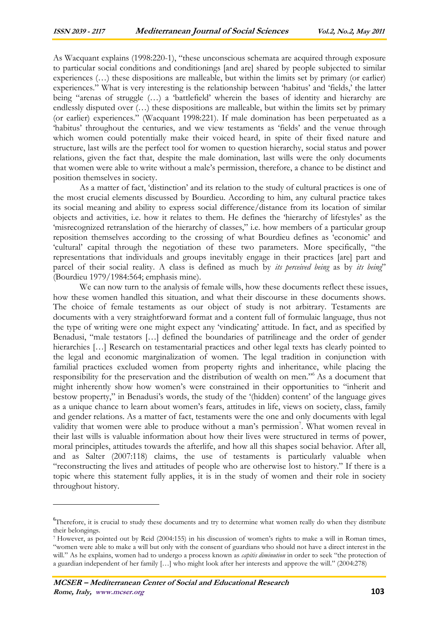As Wacquant explains (1998:220-1), "these unconscious schemata are acquired through exposure to particular social conditions and conditionings [and are] shared by people subjected to similar experiences (…) these dispositions are malleable, but within the limits set by primary (or earlier) experiences." What is very interesting is the relationship between 'habitus' and 'fields,' the latter being "arenas of struggle (…) a 'battlefield' wherein the bases of identity and hierarchy are endlessly disputed over (…) these dispositions are malleable, but within the limits set by primary (or earlier) experiences." (Wacquant 1998:221). If male domination has been perpetuated as a 'habitus' throughout the centuries, and we view testaments as 'fields' and the venue through which women could potentially make their voiced heard, in spite of their fixed nature and structure, last wills are the perfect tool for women to question hierarchy, social status and power relations, given the fact that, despite the male domination, last wills were the only documents that women were able to write without a male's permission, therefore, a chance to be distinct and position themselves in society.

As a matter of fact, 'distinction' and its relation to the study of cultural practices is one of the most crucial elements discussed by Bourdieu. According to him, any cultural practice takes its social meaning and ability to express social difference/distance from its location of similar objects and activities, i.e. how it relates to them. He defines the 'hierarchy of lifestyles' as the 'misrecognized retranslation of the hierarchy of classes," i.e. how members of a particular group reposition themselves according to the crossing of what Bourdieu defines as 'economic' and 'cultural' capital through the negotiation of these two parameters. More specifically, "the representations that individuals and groups inevitably engage in their practices [are] part and parcel of their social reality. A class is defined as much by *its perceived being* as by *its being*" (Bourdieu 1979/1984:564; emphasis mine).

We can now turn to the analysis of female wills, how these documents reflect these issues, how these women handled this situation, and what their discourse in these documents shows. The choice of female testaments as our object of study is not arbitrary. Testaments are documents with a very straightforward format and a content full of formulaic language, thus not the type of writing were one might expect any 'vindicating' attitude. In fact, and as specified by Benadusi, "male testators […] defined the boundaries of patrilineage and the order of gender hierarchies [...] Research on testamentarial practices and other legal texts has clearly pointed to the legal and economic marginalization of women. The legal tradition in conjunction with familial practices excluded women from property rights and inheritance, while placing the responsibility for the preservation and the distribution of wealth on men."<sup>6</sup> As a document that might inherently show how women's were constrained in their opportunities to "inherit and bestow property," in Benadusi's words, the study of the '(hidden) content' of the language gives as a unique chance to learn about women's fears, attitudes in life, views on society, class, family and gender relations. As a matter of fact, testaments were the one and only documents with legal validity that women were able to produce without a man's permission<sup>7</sup>. What women reveal in their last wills is valuable information about how their lives were structured in terms of power, moral principles, attitudes towards the afterlife, and how all this shapes social behavior. After all, and as Salter (2007:118) claims, the use of testaments is particularly valuable when "reconstructing the lives and attitudes of people who are otherwise lost to history." If there is a topic where this statement fully applies, it is in the study of women and their role in society throughout history.

<sup>&</sup>lt;sup>6</sup>Therefore, it is crucial to study these documents and try to determine what women really do when they distribute their belongings.

<sup>7</sup> However, as pointed out by Reid (2004:155) in his discussion of women's rights to make a will in Roman times, "women were able to make a will but only with the consent of guardians who should not have a direct interest in the will." As he explains, women had to undergo a process known as *capitis diminution* in order to seek "the protection of a guardian independent of her family […] who might look after her interests and approve the will." (2004:278)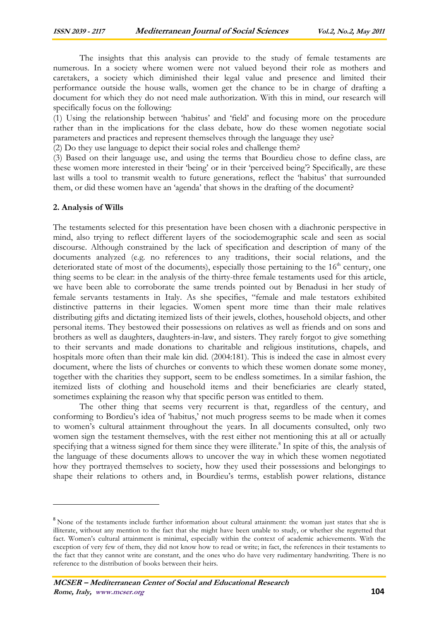The insights that this analysis can provide to the study of female testaments are numerous. In a society where women were not valued beyond their role as mothers and caretakers, a society which diminished their legal value and presence and limited their performance outside the house walls, women get the chance to be in charge of drafting a document for which they do not need male authorization. With this in mind, our research will specifically focus on the following:

(1) Using the relationship between 'habitus' and 'field' and focusing more on the procedure rather than in the implications for the class debate, how do these women negotiate social parameters and practices and represent themselves through the language they use?

(2) Do they use language to depict their social roles and challenge them?

(3) Based on their language use, and using the terms that Bourdieu chose to define class, are these women more interested in their 'being' or in their 'perceived being'? Specifically, are these last wills a tool to transmit wealth to future generations, reflect the 'habitus' that surrounded them, or did these women have an 'agenda' that shows in the drafting of the document?

#### **2. Analysis of Wills**

 $\overline{a}$ 

The testaments selected for this presentation have been chosen with a diachronic perspective in mind, also trying to reflect different layers of the sociodemographic scale and seen as social discourse. Although constrained by the lack of specification and description of many of the documents analyzed (e.g. no references to any traditions, their social relations, and the deteriorated state of most of the documents), especially those pertaining to the  $16<sup>th</sup>$  century, one thing seems to be clear: in the analysis of the thirty-three female testaments used for this article, we have been able to corroborate the same trends pointed out by Benadusi in her study of female servants testaments in Italy. As she specifies, "female and male testators exhibited distinctive patterns in their legacies. Women spent more time than their male relatives distributing gifts and dictating itemized lists of their jewels, clothes, household objects, and other personal items. They bestowed their possessions on relatives as well as friends and on sons and brothers as well as daughters, daughters-in-law, and sisters. They rarely forgot to give something to their servants and made donations to charitable and religious institutions, chapels, and hospitals more often than their male kin did. (2004:181). This is indeed the case in almost every document, where the lists of churches or convents to which these women donate some money, together with the charities they support, seem to be endless sometimes. In a similar fashion, the itemized lists of clothing and household items and their beneficiaries are clearly stated, sometimes explaining the reason why that specific person was entitled to them.

The other thing that seems very recurrent is that, regardless of the century, and conforming to Bordieu's idea of 'habitus,' not much progress seems to be made when it comes to women's cultural attainment throughout the years. In all documents consulted, only two women sign the testament themselves, with the rest either not mentioning this at all or actually specifying that a witness signed for them since they were illiterate.<sup>8</sup> In spite of this, the analysis of the language of these documents allows to uncover the way in which these women negotiated how they portrayed themselves to society, how they used their possessions and belongings to shape their relations to others and, in Bourdieu's terms, establish power relations, distance

<sup>&</sup>lt;sup>8</sup> None of the testaments include further information about cultural attainment: the woman just states that she is illiterate, without any mention to the fact that she might have been unable to study, or whether she regretted that fact. Women's cultural attainment is minimal, especially within the context of academic achievements. With the exception of very few of them, they did not know how to read or write; in fact, the references in their testaments to the fact that they cannot write are constant, and the ones who do have very rudimentary handwriting. There is no reference to the distribution of books between their heirs.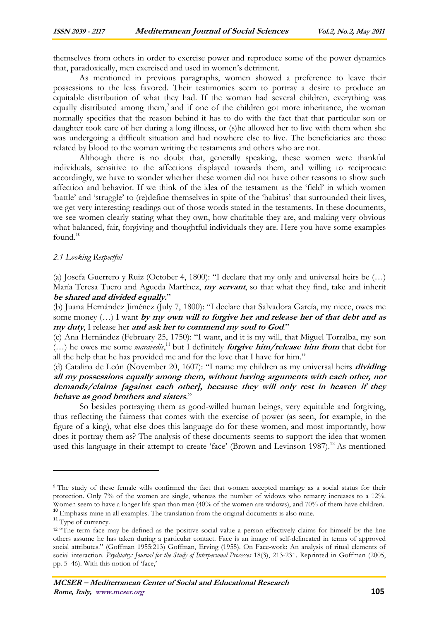themselves from others in order to exercise power and reproduce some of the power dynamics that, paradoxically, men exercised and used in women's detriment.

 As mentioned in previous paragraphs, women showed a preference to leave their possessions to the less favored. Their testimonies seem to portray a desire to produce an equitable distribution of what they had. If the woman had several children, everything was equally distributed among them,<sup>9</sup> and if one of the children got more inheritance, the woman normally specifies that the reason behind it has to do with the fact that that particular son or daughter took care of her during a long illness, or (s)he allowed her to live with them when she was undergoing a difficult situation and had nowhere else to live. The beneficiaries are those related by blood to the woman writing the testaments and others who are not.

 Although there is no doubt that, generally speaking, these women were thankful individuals, sensitive to the affections displayed towards them, and willing to reciprocate accordingly, we have to wonder whether these women did not have other reasons to show such affection and behavior. If we think of the idea of the testament as the 'field' in which women 'battle' and 'struggle' to (re)define themselves in spite of the 'habitus' that surrounded their lives, we get very interesting readings out of those words stated in the testaments. In these documents, we see women clearly stating what they own, how charitable they are, and making very obvious what balanced, fair, forgiving and thoughtful individuals they are. Here you have some examples found. $10$ 

#### *2.1 Looking Respectful*

(a) Josefa Guerrero y Ruiz (October 4, 1800): "I declare that my only and universal heirs be (…) María Teresa Tuero and Agueda Martínez, **my servant**, so that what they find, take and inherit **be shared and divided equally.**"

(b) Juana Hernández Jiménez (July 7, 1800): "I declare that Salvadora García, my niece, owes me some money (…) I want **by my own will to forgive her and release her of that debt and as my duty**, I release her **and ask her to commend my soul to God***.*"

(c) Ana Hernández (February 25, 1750): "I want, and it is my will, that Miguel Torralba, my son (…) he owes me some *maravedís*, <sup>11</sup> but I definitely **forgive him/release him from** that debt for all the help that he has provided me and for the love that I have for him."

(d) Catalina de León (November 20, 1607): "I name my children as my universal heirs **dividing all my possessions equally among them, without having arguments with each other, nor demands/claims [against each other], because they will only rest in heaven if they behave as good brothers and sisters**."

So besides portraying them as good-willed human beings, very equitable and forgiving, thus reflecting the fairness that comes with the exercise of power (as seen, for example, in the figure of a king), what else does this language do for these women, and most importantly, how does it portray them as? The analysis of these documents seems to support the idea that women used this language in their attempt to create 'face' (Brown and Levinson 1987).<sup>12</sup> As mentioned

<sup>9</sup> The study of these female wills confirmed the fact that women accepted marriage as a social status for their protection. Only 7% of the women are single, whereas the number of widows who remarry increases to a 12%. Women seem to have a longer life span than men (40% of the women are widows), and 70% of them have children.

<sup>&</sup>lt;sup>10</sup> Emphasis mine in all examples. The translation from the original documents is also mine.

<sup>&</sup>lt;sup>11</sup> Type of currency.

<sup>&</sup>lt;sup>12 "The term</sup> face may be defined as the positive social value a person effectively claims for himself by the line others assume he has taken during a particular contact. Face is an image of self-delineated in terms of approved social attributes." (Goffman 1955:213) Goffman, Erving (1955). On Face-work: An analysis of ritual elements of social interaction. *Psychiatry: Journal for the Study of Interpersonal Processes* 18(3), 213-231. Reprinted in Goffman (2005, pp. 5–46). With this notion of 'face,'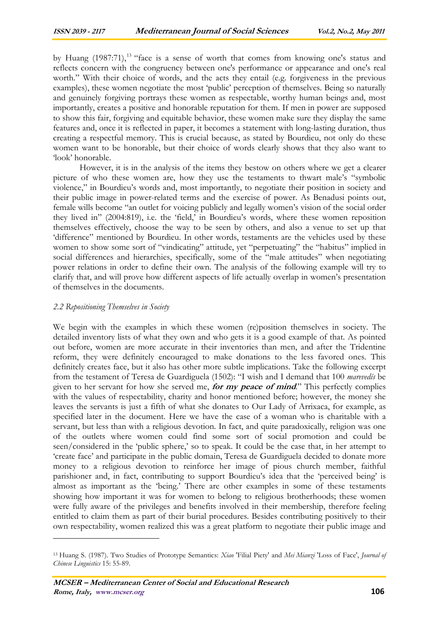by Huang  $(1987:71)$ ,<sup>13</sup> "face is a sense of worth that comes from knowing one's status and reflects concern with the congruency between one's performance or appearance and one's real worth." With their choice of words, and the acts they entail (e.g. forgiveness in the previous examples), these women negotiate the most 'public' perception of themselves. Being so naturally and genuinely forgiving portrays these women as respectable, worthy human beings and, most importantly, creates a positive and honorable reputation for them. If men in power are supposed to show this fair, forgiving and equitable behavior, these women make sure they display the same features and, once it is reflected in paper, it becomes a statement with long-lasting duration, thus creating a respectful memory. This is crucial because, as stated by Bourdieu, not only do these women want to be honorable, but their choice of words clearly shows that they also want to 'look' honorable.

However, it is in the analysis of the items they bestow on others where we get a clearer picture of who these women are, how they use the testaments to thwart male's "symbolic violence," in Bourdieu's words and, most importantly, to negotiate their position in society and their public image in power-related terms and the exercise of power. As Benadusi points out, female wills become "an outlet for voicing publicly and legally women's vision of the social order they lived in" (2004:819), i.e. the 'field,' in Bourdieu's words, where these women reposition themselves effectively, choose the way to be seen by others, and also a venue to set up that 'difference" mentioned by Bourdieu. In other words, testaments are the vehicles used by these women to show some sort of "vindicating" attitude, yet "perpetuating" the "habitus" implied in social differences and hierarchies, specifically, some of the "male attitudes" when negotiating power relations in order to define their own. The analysis of the following example will try to clarify that, and will prove how different aspects of life actually overlap in women's presentation of themselves in the documents.

#### *2.2 Repositioning Themselves in Society*

 $\overline{a}$ 

We begin with the examples in which these women (re)position themselves in society. The detailed inventory lists of what they own and who gets it is a good example of that. As pointed out before, women are more accurate in their inventories than men, and after the Tridentine reform, they were definitely encouraged to make donations to the less favored ones. This definitely creates face, but it also has other more subtle implications. Take the following excerpt from the testament of Teresa de Guardiguela (1502): "I wish and I demand that 100 *marevedís* be given to her servant for how she served me, **for my peace of mind**." This perfectly complies with the values of respectability, charity and honor mentioned before; however, the money she leaves the servants is just a fifth of what she donates to Our Lady of Arrixaca, for example, as specified later in the document. Here we have the case of a woman who is charitable with a servant, but less than with a religious devotion. In fact, and quite paradoxically, religion was one of the outlets where women could find some sort of social promotion and could be seen/considered in the 'public sphere,' so to speak. It could be the case that, in her attempt to 'create face' and participate in the public domain, Teresa de Guardiguela decided to donate more money to a religious devotion to reinforce her image of pious church member, faithful parishioner and, in fact, contributing to support Bourdieu's idea that the 'perceived being' is almost as important as the 'being.' There are other examples in some of these testaments showing how important it was for women to belong to religious brotherhoods; these women were fully aware of the privileges and benefits involved in their membership, therefore feeling entitled to claim them as part of their burial procedures. Besides contributing positively to their own respectability, women realized this was a great platform to negotiate their public image and

<sup>13</sup> Huang S. (1987). Two Studies of Prototype Semantics: *Xiao* 'Filial Piety' and *Mei Mianzi* 'Loss of Face', *Journal of Chinese Linguistics* 15: 55-89.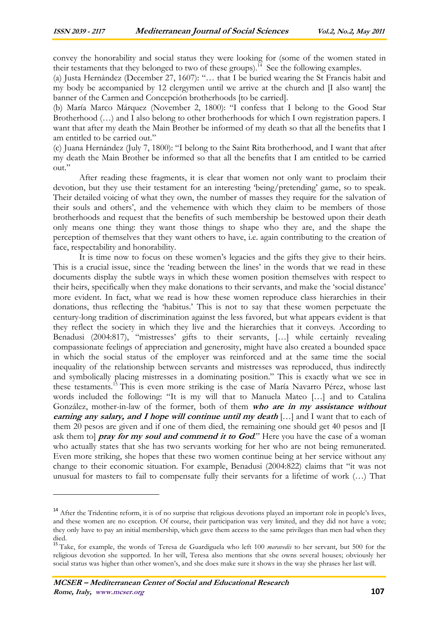convey the honorability and social status they were looking for (some of the women stated in their testaments that they belonged to two of these groups).<sup>14</sup> See the following examples.

(a) Justa Hernández (December 27, 1607): "… that I be buried wearing the St Francis habit and my body be accompanied by 12 clergymen until we arrive at the church and  $\Pi$  also want the banner of the Carmen and Concepción brotherhoods [to be carried].

(b) María Marco Márquez (November 2, 1800): "I confess that I belong to the Good Star Brotherhood (…) and I also belong to other brotherhoods for which I own registration papers. I want that after my death the Main Brother be informed of my death so that all the benefits that I am entitled to be carried out."

(c) Juana Hernández (July 7, 1800): "I belong to the Saint Rita brotherhood, and I want that after my death the Main Brother be informed so that all the benefits that I am entitled to be carried out."

 After reading these fragments, it is clear that women not only want to proclaim their devotion, but they use their testament for an interesting 'being/pretending' game, so to speak. Their detailed voicing of what they own, the number of masses they require for the salvation of their souls and others', and the vehemence with which they claim to be members of those brotherhoods and request that the benefits of such membership be bestowed upon their death only means one thing: they want those things to shape who they are, and the shape the perception of themselves that they want others to have, i.e. again contributing to the creation of face, respectability and honorability.

 It is time now to focus on these women's legacies and the gifts they give to their heirs. This is a crucial issue, since the 'reading between the lines' in the words that we read in these documents display the subtle ways in which these women position themselves with respect to their heirs, specifically when they make donations to their servants, and make the 'social distance' more evident. In fact, what we read is how these women reproduce class hierarchies in their donations, thus reflecting the 'habitus.' This is not to say that these women perpetuate the century-long tradition of discrimination against the less favored, but what appears evident is that they reflect the society in which they live and the hierarchies that it conveys. According to Benadusi (2004:817), "mistresses' gifts to their servants, […] while certainly revealing compassionate feelings of appreciation and generosity, might have also created a bounded space in which the social status of the employer was reinforced and at the same time the social inequality of the relationship between servants and mistresses was reproduced, thus indirectly and symbolically placing mistresses in a dominating position." This is exactly what we see in these testaments.<sup>15</sup> This is even more striking is the case of María Navarro Pérez, whose last words included the following: "It is my will that to Manuela Mateo […] and to Catalina González, mother-in-law of the former, both of them **who are in my assistance without earning any salary, and I hope will continue until my death** [...] and I want that to each of them 20 pesos are given and if one of them died, the remaining one should get 40 pesos and [I ask them to] **pray for my soul and commend it to God**." Here you have the case of a woman who actually states that she has two servants working for her who are not being remunerated. Even more striking, she hopes that these two women continue being at her service without any change to their economic situation. For example, Benadusi (2004:822) claims that "it was not unusual for masters to fail to compensate fully their servants for a lifetime of work (…) That

<sup>&</sup>lt;sup>14</sup> After the Tridentine reform, it is of no surprise that religious devotions played an important role in people's lives, and these women are no exception. Of course, their participation was very limited, and they did not have a vote; they only have to pay an initial membership, which gave them access to the same privileges than men had when they died.

<sup>15</sup> Take, for example, the words of Teresa de Guardiguela who left 100 *maravedís* to her servant, but 500 for the religious devotion she supported. In her will, Teresa also mentions that she owns several houses; obviously her social status was higher than other women's, and she does make sure it shows in the way she phrases her last will.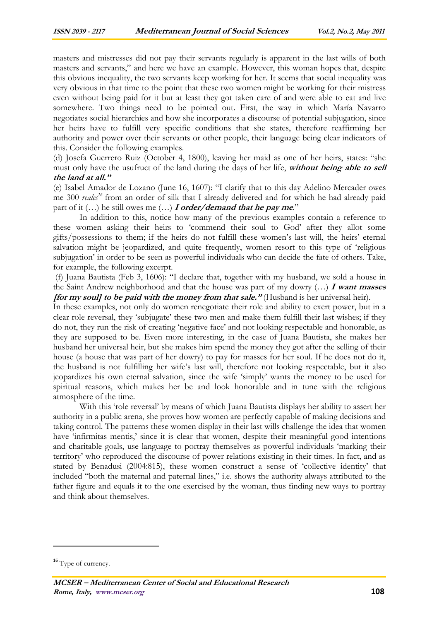masters and mistresses did not pay their servants regularly is apparent in the last wills of both masters and servants," and here we have an example. However, this woman hopes that, despite this obvious inequality, the two servants keep working for her. It seems that social inequality was very obvious in that time to the point that these two women might be working for their mistress even without being paid for it but at least they got taken care of and were able to eat and live somewhere. Two things need to be pointed out. First, the way in which María Navarro negotiates social hierarchies and how she incorporates a discourse of potential subjugation, since her heirs have to fulfill very specific conditions that she states, therefore reaffirming her authority and power over their servants or other people, their language being clear indicators of this. Consider the following examples.

(d) Josefa Guerrero Ruiz (October 4, 1800), leaving her maid as one of her heirs, states: "she must only have the usufruct of the land during the days of her life, **without being able to sell the land at all."**

(e) Isabel Amador de Lozano (June 16, 1607): "I clarify that to this day Adelino Mercader owes me 300 *reales<sup>16</sup>* from an order of silk that I already delivered and for which he had already paid part of it (…) he still owes me (…) **I order/demand that he pay me**."

In addition to this, notice how many of the previous examples contain a reference to these women asking their heirs to 'commend their soul to God' after they allot some gifts/possessions to them; if the heirs do not fulfill these women's last will, the heirs' eternal salvation might be jeopardized, and quite frequently, women resort to this type of 'religious subjugation' in order to be seen as powerful individuals who can decide the fate of others. Take, for example, the following excerpt.

 (f) Juana Bautista (Feb 3, 1606): "I declare that, together with my husband, we sold a house in the Saint Andrew neighborhood and that the house was part of my dowry (…) **I want masses [for my soul] to be paid with the money from that sale."** (Husband is her universal heir).

In these examples, not only do women renegotiate their role and ability to exert power, but in a clear role reversal, they 'subjugate' these two men and make them fulfill their last wishes; if they do not, they run the risk of creating 'negative face' and not looking respectable and honorable, as they are supposed to be. Even more interesting, in the case of Juana Bautista, she makes her husband her universal heir, but she makes him spend the money they got after the selling of their house (a house that was part of her dowry) to pay for masses for her soul. If he does not do it, the husband is not fulfilling her wife's last will, therefore not looking respectable, but it also jeopardizes his own eternal salvation, since the wife 'simply' wants the money to be used for spiritual reasons, which makes her be and look honorable and in tune with the religious atmosphere of the time.

With this 'role reversal' by means of which Juana Bautista displays her ability to assert her authority in a public arena, she proves how women are perfectly capable of making decisions and taking control. The patterns these women display in their last wills challenge the idea that women have 'infirmitas mentis,' since it is clear that women, despite their meaningful good intentions and charitable goals, use language to portray themselves as powerful individuals 'marking their territory' who reproduced the discourse of power relations existing in their times. In fact, and as stated by Benadusi (2004:815), these women construct a sense of 'collective identity' that included "both the maternal and paternal lines," i.e. shows the authority always attributed to the father figure and equals it to the one exercised by the woman, thus finding new ways to portray and think about themselves.

**MCSER – Mediterranean Center of Social and Educational Research** **Rome, Italy, www.mcser.org 108**

<sup>&</sup>lt;sup>16</sup> Type of currency.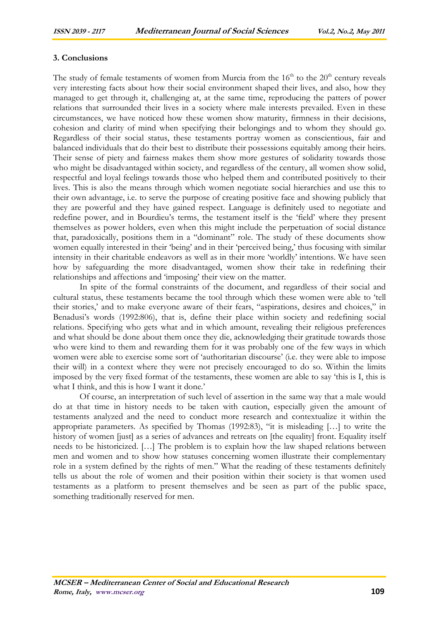## **3. Conclusions**

The study of female testaments of women from Murcia from the  $16<sup>th</sup>$  to the  $20<sup>th</sup>$  century reveals very interesting facts about how their social environment shaped their lives, and also, how they managed to get through it, challenging at, at the same time, reproducing the patters of power relations that surrounded their lives in a society where male interests prevailed. Even in these circumstances, we have noticed how these women show maturity, firmness in their decisions, cohesion and clarity of mind when specifying their belongings and to whom they should go. Regardless of their social status, these testaments portray women as conscientious, fair and balanced individuals that do their best to distribute their possessions equitably among their heirs. Their sense of piety and fairness makes them show more gestures of solidarity towards those who might be disadvantaged within society, and regardless of the century, all women show solid, respectful and loyal feelings towards those who helped them and contributed positively to their lives. This is also the means through which women negotiate social hierarchies and use this to their own advantage, i.e. to serve the purpose of creating positive face and showing publicly that they are powerful and they have gained respect. Language is definitely used to negotiate and redefine power, and in Bourdieu's terms, the testament itself is the 'field' where they present themselves as power holders, even when this might include the perpetuation of social distance that, paradoxically, positions them in a "dominant" role. The study of these documents show women equally interested in their 'being' and in their 'perceived being,' thus focusing with similar intensity in their charitable endeavors as well as in their more 'worldly' intentions. We have seen how by safeguarding the more disadvantaged, women show their take in redefining their relationships and affections and 'imposing' their view on the matter.

In spite of the formal constraints of the document, and regardless of their social and cultural status, these testaments became the tool through which these women were able to 'tell their stories,' and to make everyone aware of their fears, "aspirations, desires and choices," in Benadusi's words (1992:806), that is, define their place within society and redefining social relations. Specifying who gets what and in which amount, revealing their religious preferences and what should be done about them once they die, acknowledging their gratitude towards those who were kind to them and rewarding them for it was probably one of the few ways in which women were able to exercise some sort of 'authoritarian discourse' (i.e. they were able to impose their will) in a context where they were not precisely encouraged to do so. Within the limits imposed by the very fixed format of the testaments, these women are able to say 'this is I, this is what I think, and this is how I want it done.'

Of course, an interpretation of such level of assertion in the same way that a male would do at that time in history needs to be taken with caution, especially given the amount of testaments analyzed and the need to conduct more research and contextualize it within the appropriate parameters. As specified by Thomas (1992:83), "it is misleading […] to write the history of women [just] as a series of advances and retreats on [the equality] front. Equality itself needs to be historicized. […] The problem is to explain how the law shaped relations between men and women and to show how statuses concerning women illustrate their complementary role in a system defined by the rights of men." What the reading of these testaments definitely tells us about the role of women and their position within their society is that women used testaments as a platform to present themselves and be seen as part of the public space, something traditionally reserved for men.